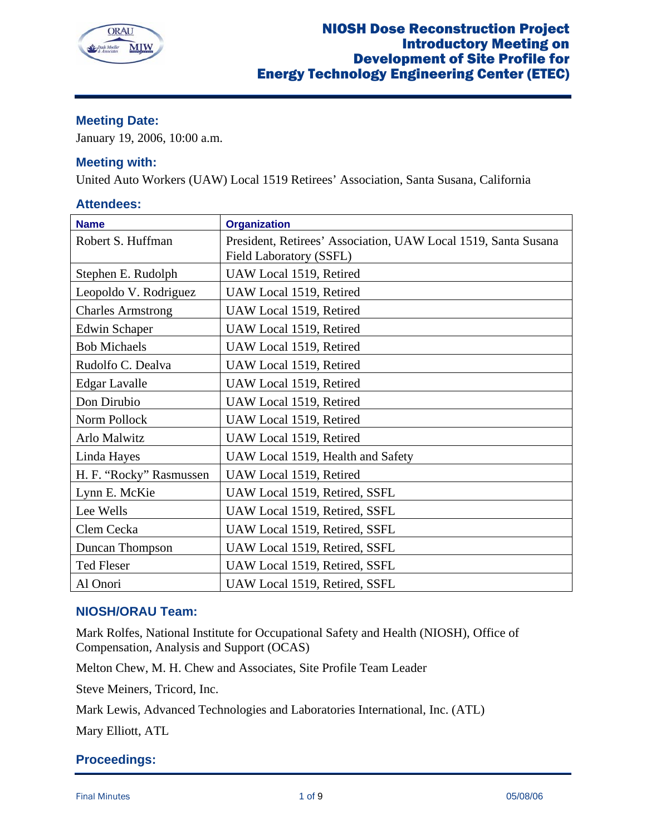

# **Meeting Date:**

January 19, 2006, 10:00 a.m.

## **Meeting with:**

United Auto Workers (UAW) Local 1519 Retirees' Association, Santa Susana, California

## **Attendees:**

| <b>Name</b>              | <b>Organization</b>                                                                       |
|--------------------------|-------------------------------------------------------------------------------------------|
| Robert S. Huffman        | President, Retirees' Association, UAW Local 1519, Santa Susana<br>Field Laboratory (SSFL) |
| Stephen E. Rudolph       | UAW Local 1519, Retired                                                                   |
| Leopoldo V. Rodriguez    | UAW Local 1519, Retired                                                                   |
| <b>Charles Armstrong</b> | UAW Local 1519, Retired                                                                   |
| <b>Edwin Schaper</b>     | UAW Local 1519, Retired                                                                   |
| <b>Bob Michaels</b>      | UAW Local 1519, Retired                                                                   |
| Rudolfo C. Dealva        | UAW Local 1519, Retired                                                                   |
| <b>Edgar Lavalle</b>     | UAW Local 1519, Retired                                                                   |
| Don Dirubio              | UAW Local 1519, Retired                                                                   |
| Norm Pollock             | UAW Local 1519, Retired                                                                   |
| Arlo Malwitz             | UAW Local 1519, Retired                                                                   |
| Linda Hayes              | UAW Local 1519, Health and Safety                                                         |
| H. F. "Rocky" Rasmussen  | UAW Local 1519, Retired                                                                   |
| Lynn E. McKie            | UAW Local 1519, Retired, SSFL                                                             |
| Lee Wells                | UAW Local 1519, Retired, SSFL                                                             |
| Clem Cecka               | UAW Local 1519, Retired, SSFL                                                             |
| Duncan Thompson          | UAW Local 1519, Retired, SSFL                                                             |
| <b>Ted Fleser</b>        | UAW Local 1519, Retired, SSFL                                                             |
| Al Onori                 | UAW Local 1519, Retired, SSFL                                                             |

# **NIOSH/ORAU Team:**

Mark Rolfes, National Institute for Occupational Safety and Health (NIOSH), Office of Compensation, Analysis and Support (OCAS)

Melton Chew, M. H. Chew and Associates, Site Profile Team Leader

Steve Meiners, Tricord, Inc.

Mark Lewis, Advanced Technologies and Laboratories International, Inc. (ATL)

Mary Elliott, ATL

## **Proceedings:**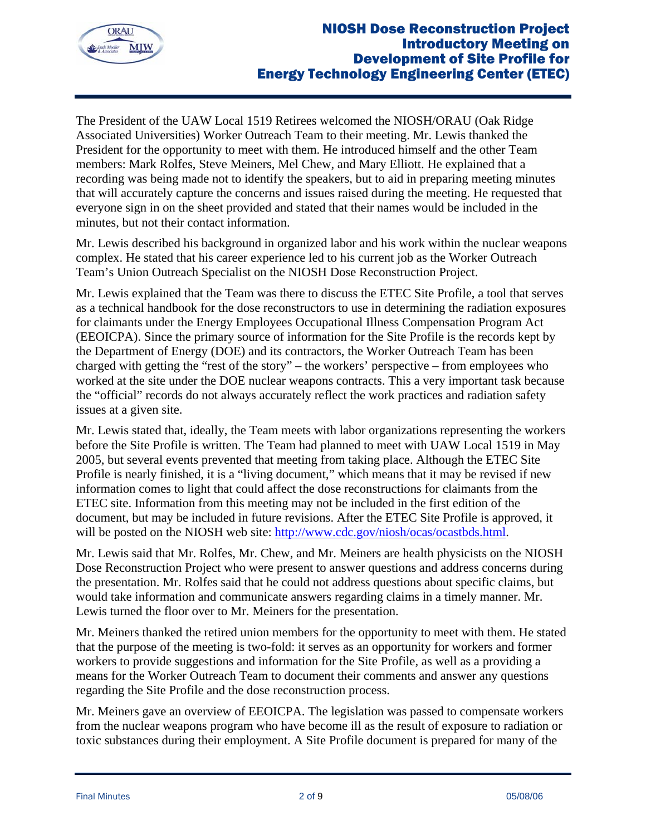

The President of the UAW Local 1519 Retirees welcomed the NIOSH/ORAU (Oak Ridge Associated Universities) Worker Outreach Team to their meeting. Mr. Lewis thanked the President for the opportunity to meet with them. He introduced himself and the other Team members: Mark Rolfes, Steve Meiners, Mel Chew, and Mary Elliott. He explained that a recording was being made not to identify the speakers, but to aid in preparing meeting minutes that will accurately capture the concerns and issues raised during the meeting. He requested that everyone sign in on the sheet provided and stated that their names would be included in the minutes, but not their contact information.

Mr. Lewis described his background in organized labor and his work within the nuclear weapons complex. He stated that his career experience led to his current job as the Worker Outreach Team's Union Outreach Specialist on the NIOSH Dose Reconstruction Project.

Mr. Lewis explained that the Team was there to discuss the ETEC Site Profile, a tool that serves as a technical handbook for the dose reconstructors to use in determining the radiation exposures for claimants under the Energy Employees Occupational Illness Compensation Program Act (EEOICPA). Since the primary source of information for the Site Profile is the records kept by the Department of Energy (DOE) and its contractors, the Worker Outreach Team has been charged with getting the "rest of the story" – the workers' perspective – from employees who worked at the site under the DOE nuclear weapons contracts. This a very important task because the "official" records do not always accurately reflect the work practices and radiation safety issues at a given site.

Mr. Lewis stated that, ideally, the Team meets with labor organizations representing the workers before the Site Profile is written. The Team had planned to meet with UAW Local 1519 in May 2005, but several events prevented that meeting from taking place. Although the ETEC Site Profile is nearly finished, it is a "living document," which means that it may be revised if new information comes to light that could affect the dose reconstructions for claimants from the ETEC site. Information from this meeting may not be included in the first edition of the document, but may be included in future revisions. After the ETEC Site Profile is approved, it will be posted on the NIOSH web site: http://www.cdc.gov/niosh/ocas/ocastbds.html.

Mr. Lewis said that Mr. Rolfes, Mr. Chew, and Mr. Meiners are health physicists on the NIOSH Dose Reconstruction Project who were present to answer questions and address concerns during the presentation. Mr. Rolfes said that he could not address questions about specific claims, but would take information and communicate answers regarding claims in a timely manner. Mr. Lewis turned the floor over to Mr. Meiners for the presentation.

Mr. Meiners thanked the retired union members for the opportunity to meet with them. He stated that the purpose of the meeting is two-fold: it serves as an opportunity for workers and former workers to provide suggestions and information for the Site Profile, as well as a providing a means for the Worker Outreach Team to document their comments and answer any questions regarding the Site Profile and the dose reconstruction process.

Mr. Meiners gave an overview of EEOICPA. The legislation was passed to compensate workers from the nuclear weapons program who have become ill as the result of exposure to radiation or toxic substances during their employment. A Site Profile document is prepared for many of the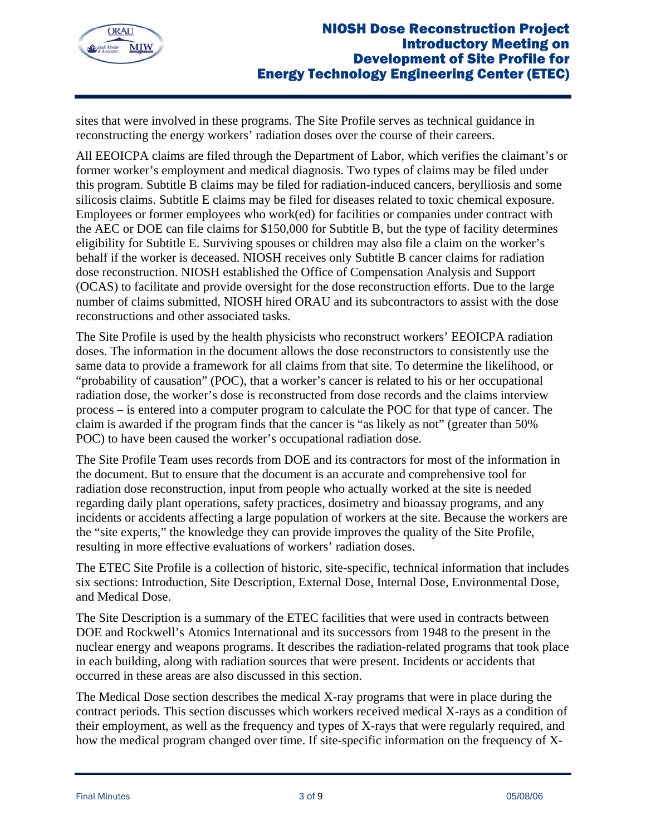

sites that were involved in these programs. The Site Profile serves as technical guidance in reconstructing the energy workers' radiation doses over the course of their careers.

All EEOICPA claims are filed through the Department of Labor, which verifies the claimant's or former worker's employment and medical diagnosis. Two types of claims may be filed under this program. Subtitle B claims may be filed for radiation-induced cancers, berylliosis and some silicosis claims. Subtitle E claims may be filed for diseases related to toxic chemical exposure. Employees or former employees who work(ed) for facilities or companies under contract with the AEC or DOE can file claims for \$150,000 for Subtitle B, but the type of facility determines eligibility for Subtitle E. Surviving spouses or children may also file a claim on the worker's behalf if the worker is deceased. NIOSH receives only Subtitle B cancer claims for radiation dose reconstruction. NIOSH established the Office of Compensation Analysis and Support (OCAS) to facilitate and provide oversight for the dose reconstruction efforts. Due to the large number of claims submitted, NIOSH hired ORAU and its subcontractors to assist with the dose reconstructions and other associated tasks.

The Site Profile is used by the health physicists who reconstruct workers' EEOICPA radiation doses. The information in the document allows the dose reconstructors to consistently use the same data to provide a framework for all claims from that site. To determine the likelihood, or "probability of causation" (POC), that a worker's cancer is related to his or her occupational radiation dose, the worker's dose is reconstructed from dose records and the claims interview process – is entered into a computer program to calculate the POC for that type of cancer. The claim is awarded if the program finds that the cancer is "as likely as not" (greater than 50% POC) to have been caused the worker's occupational radiation dose.

The Site Profile Team uses records from DOE and its contractors for most of the information in the document. But to ensure that the document is an accurate and comprehensive tool for radiation dose reconstruction, input from people who actually worked at the site is needed regarding daily plant operations, safety practices, dosimetry and bioassay programs, and any incidents or accidents affecting a large population of workers at the site. Because the workers are the "site experts," the knowledge they can provide improves the quality of the Site Profile, resulting in more effective evaluations of workers' radiation doses.

The ETEC Site Profile is a collection of historic, site-specific, technical information that includes six sections: Introduction, Site Description, External Dose, Internal Dose, Environmental Dose, and Medical Dose.

The Site Description is a summary of the ETEC facilities that were used in contracts between DOE and Rockwell's Atomics International and its successors from 1948 to the present in the nuclear energy and weapons programs. It describes the radiation-related programs that took place in each building, along with radiation sources that were present. Incidents or accidents that occurred in these areas are also discussed in this section.

The Medical Dose section describes the medical X-ray programs that were in place during the contract periods. This section discusses which workers received medical X-rays as a condition of their employment, as well as the frequency and types of X-rays that were regularly required, and how the medical program changed over time. If site-specific information on the frequency of X-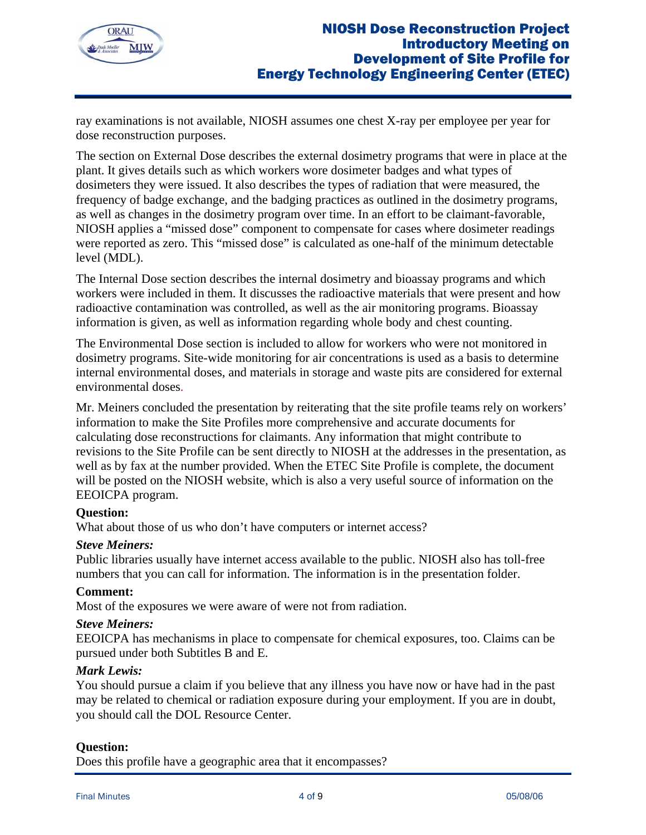

ray examinations is not available, NIOSH assumes one chest X-ray per employee per year for dose reconstruction purposes.

The section on External Dose describes the external dosimetry programs that were in place at the plant. It gives details such as which workers wore dosimeter badges and what types of dosimeters they were issued. It also describes the types of radiation that were measured, the frequency of badge exchange, and the badging practices as outlined in the dosimetry programs, as well as changes in the dosimetry program over time. In an effort to be claimant-favorable, NIOSH applies a "missed dose" component to compensate for cases where dosimeter readings were reported as zero. This "missed dose" is calculated as one-half of the minimum detectable level (MDL).

The Internal Dose section describes the internal dosimetry and bioassay programs and which workers were included in them. It discusses the radioactive materials that were present and how radioactive contamination was controlled, as well as the air monitoring programs. Bioassay information is given, as well as information regarding whole body and chest counting.

The Environmental Dose section is included to allow for workers who were not monitored in dosimetry programs. Site-wide monitoring for air concentrations is used as a basis to determine internal environmental doses, and materials in storage and waste pits are considered for external environmental doses.

Mr. Meiners concluded the presentation by reiterating that the site profile teams rely on workers' information to make the Site Profiles more comprehensive and accurate documents for calculating dose reconstructions for claimants. Any information that might contribute to revisions to the Site Profile can be sent directly to NIOSH at the addresses in the presentation, as well as by fax at the number provided. When the ETEC Site Profile is complete, the document will be posted on the NIOSH website, which is also a very useful source of information on the EEOICPA program.

## **Question:**

What about those of us who don't have computers or internet access?

### *Steve Meiners:*

Public libraries usually have internet access available to the public. NIOSH also has toll-free numbers that you can call for information. The information is in the presentation folder.

### **Comment:**

Most of the exposures we were aware of were not from radiation.

### *Steve Meiners:*

EEOICPA has mechanisms in place to compensate for chemical exposures, too. Claims can be pursued under both Subtitles B and E.

### *Mark Lewis:*

You should pursue a claim if you believe that any illness you have now or have had in the past may be related to chemical or radiation exposure during your employment. If you are in doubt, you should call the DOL Resource Center.

### **Question:**

Does this profile have a geographic area that it encompasses?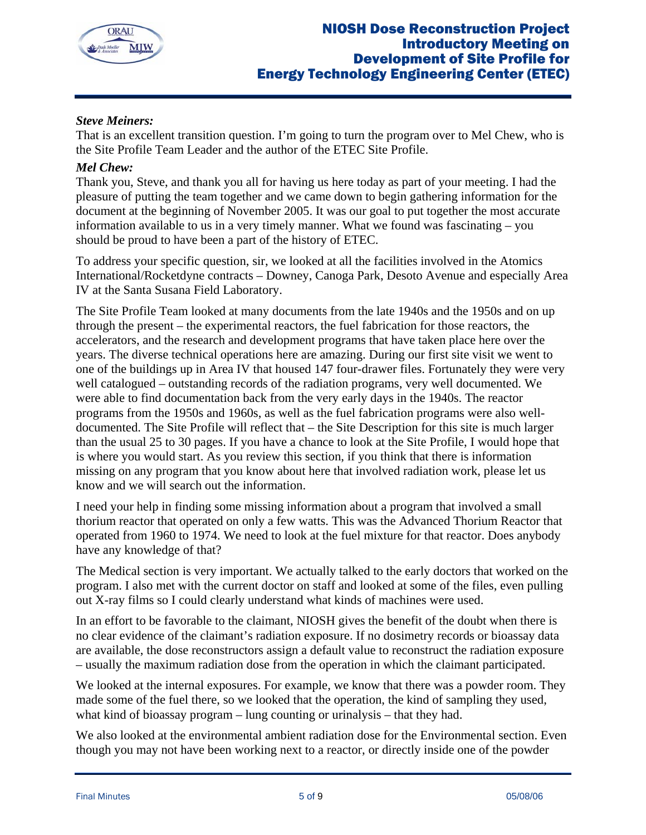

# *Steve Meiners:*

That is an excellent transition question. I'm going to turn the program over to Mel Chew, who is the Site Profile Team Leader and the author of the ETEC Site Profile.

## *Mel Chew:*

Thank you, Steve, and thank you all for having us here today as part of your meeting. I had the pleasure of putting the team together and we came down to begin gathering information for the document at the beginning of November 2005. It was our goal to put together the most accurate information available to us in a very timely manner. What we found was fascinating – you should be proud to have been a part of the history of ETEC.

To address your specific question, sir, we looked at all the facilities involved in the Atomics International/Rocketdyne contracts – Downey, Canoga Park, Desoto Avenue and especially Area IV at the Santa Susana Field Laboratory.

The Site Profile Team looked at many documents from the late 1940s and the 1950s and on up through the present – the experimental reactors, the fuel fabrication for those reactors, the accelerators, and the research and development programs that have taken place here over the years. The diverse technical operations here are amazing. During our first site visit we went to one of the buildings up in Area IV that housed 147 four-drawer files. Fortunately they were very well catalogued – outstanding records of the radiation programs, very well documented. We were able to find documentation back from the very early days in the 1940s. The reactor programs from the 1950s and 1960s, as well as the fuel fabrication programs were also welldocumented. The Site Profile will reflect that – the Site Description for this site is much larger than the usual 25 to 30 pages. If you have a chance to look at the Site Profile, I would hope that is where you would start. As you review this section, if you think that there is information missing on any program that you know about here that involved radiation work, please let us know and we will search out the information.

I need your help in finding some missing information about a program that involved a small thorium reactor that operated on only a few watts. This was the Advanced Thorium Reactor that operated from 1960 to 1974. We need to look at the fuel mixture for that reactor. Does anybody have any knowledge of that?

The Medical section is very important. We actually talked to the early doctors that worked on the program. I also met with the current doctor on staff and looked at some of the files, even pulling out X-ray films so I could clearly understand what kinds of machines were used.

In an effort to be favorable to the claimant, NIOSH gives the benefit of the doubt when there is no clear evidence of the claimant's radiation exposure. If no dosimetry records or bioassay data are available, the dose reconstructors assign a default value to reconstruct the radiation exposure – usually the maximum radiation dose from the operation in which the claimant participated.

We looked at the internal exposures. For example, we know that there was a powder room. They made some of the fuel there, so we looked that the operation, the kind of sampling they used, what kind of bioassay program – lung counting or urinalysis – that they had.

We also looked at the environmental ambient radiation dose for the Environmental section. Even though you may not have been working next to a reactor, or directly inside one of the powder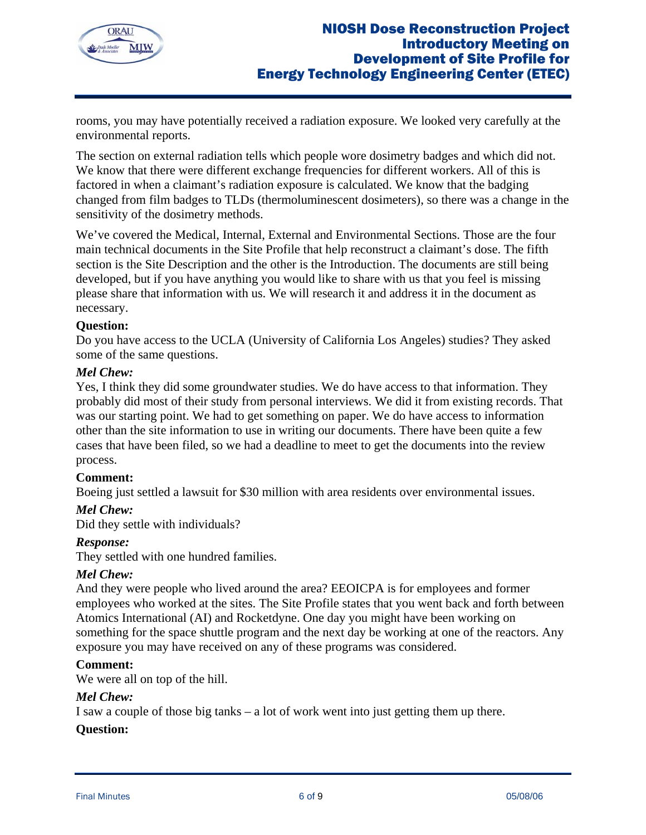

rooms, you may have potentially received a radiation exposure. We looked very carefully at the environmental reports.

The section on external radiation tells which people wore dosimetry badges and which did not. We know that there were different exchange frequencies for different workers. All of this is factored in when a claimant's radiation exposure is calculated. We know that the badging changed from film badges to TLDs (thermoluminescent dosimeters), so there was a change in the sensitivity of the dosimetry methods.

We've covered the Medical, Internal, External and Environmental Sections. Those are the four main technical documents in the Site Profile that help reconstruct a claimant's dose. The fifth section is the Site Description and the other is the Introduction. The documents are still being developed, but if you have anything you would like to share with us that you feel is missing please share that information with us. We will research it and address it in the document as necessary.

### **Question:**

Do you have access to the UCLA (University of California Los Angeles) studies? They asked some of the same questions.

### *Mel Chew:*

Yes, I think they did some groundwater studies. We do have access to that information. They probably did most of their study from personal interviews. We did it from existing records. That was our starting point. We had to get something on paper. We do have access to information other than the site information to use in writing our documents. There have been quite a few cases that have been filed, so we had a deadline to meet to get the documents into the review process.

## **Comment:**

Boeing just settled a lawsuit for \$30 million with area residents over environmental issues.

### *Mel Chew:*

Did they settle with individuals?

### *Response:*

They settled with one hundred families.

### *Mel Chew:*

And they were people who lived around the area? EEOICPA is for employees and former employees who worked at the sites. The Site Profile states that you went back and forth between Atomics International (AI) and Rocketdyne. One day you might have been working on something for the space shuttle program and the next day be working at one of the reactors. Any exposure you may have received on any of these programs was considered.

### **Comment:**

We were all on top of the hill.

### *Mel Chew:*

I saw a couple of those big tanks – a lot of work went into just getting them up there.

### **Question:**

Final Minutes **6 of 9** 05/08/06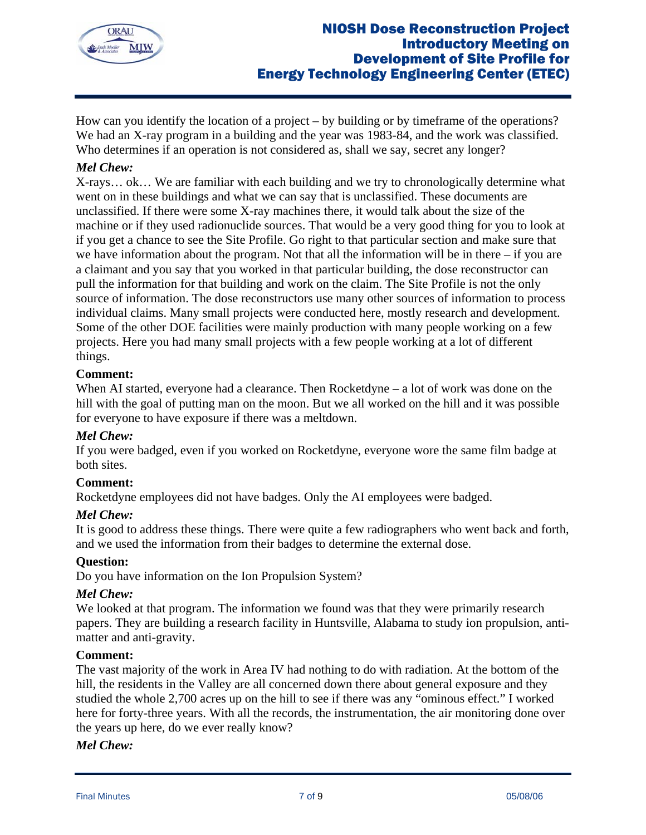

How can you identify the location of a project – by building or by timeframe of the operations? We had an X-ray program in a building and the year was 1983-84, and the work was classified. Who determines if an operation is not considered as, shall we say, secret any longer?

## *Mel Chew:*

X-rays… ok… We are familiar with each building and we try to chronologically determine what went on in these buildings and what we can say that is unclassified. These documents are unclassified. If there were some X-ray machines there, it would talk about the size of the machine or if they used radionuclide sources. That would be a very good thing for you to look at if you get a chance to see the Site Profile. Go right to that particular section and make sure that we have information about the program. Not that all the information will be in there – if you are a claimant and you say that you worked in that particular building, the dose reconstructor can pull the information for that building and work on the claim. The Site Profile is not the only source of information. The dose reconstructors use many other sources of information to process individual claims. Many small projects were conducted here, mostly research and development. Some of the other DOE facilities were mainly production with many people working on a few projects. Here you had many small projects with a few people working at a lot of different things.

## **Comment:**

When AI started, everyone had a clearance. Then Rocketdyne – a lot of work was done on the hill with the goal of putting man on the moon. But we all worked on the hill and it was possible for everyone to have exposure if there was a meltdown.

## *Mel Chew:*

If you were badged, even if you worked on Rocketdyne, everyone wore the same film badge at both sites.

## **Comment:**

Rocketdyne employees did not have badges. Only the AI employees were badged.

### *Mel Chew:*

It is good to address these things. There were quite a few radiographers who went back and forth, and we used the information from their badges to determine the external dose.

## **Question:**

Do you have information on the Ion Propulsion System?

### *Mel Chew:*

We looked at that program. The information we found was that they were primarily research papers. They are building a research facility in Huntsville, Alabama to study ion propulsion, antimatter and anti-gravity.

### **Comment:**

The vast majority of the work in Area IV had nothing to do with radiation. At the bottom of the hill, the residents in the Valley are all concerned down there about general exposure and they studied the whole 2,700 acres up on the hill to see if there was any "ominous effect." I worked here for forty-three years. With all the records, the instrumentation, the air monitoring done over the years up here, do we ever really know?

### *Mel Chew:*

Final Minutes **2008/06** 2012 12:00 12:00 2013 12:00 2014 12:00 2014 12:00 2014 12:00 2014 12:00 2014 12:00 2014 12:00 2014 12:00 2014 12:00 2014 12:00 2014 12:00 2014 12:00 2014 12:00 2014 12:00 2014 12:00 2014 12:00 2014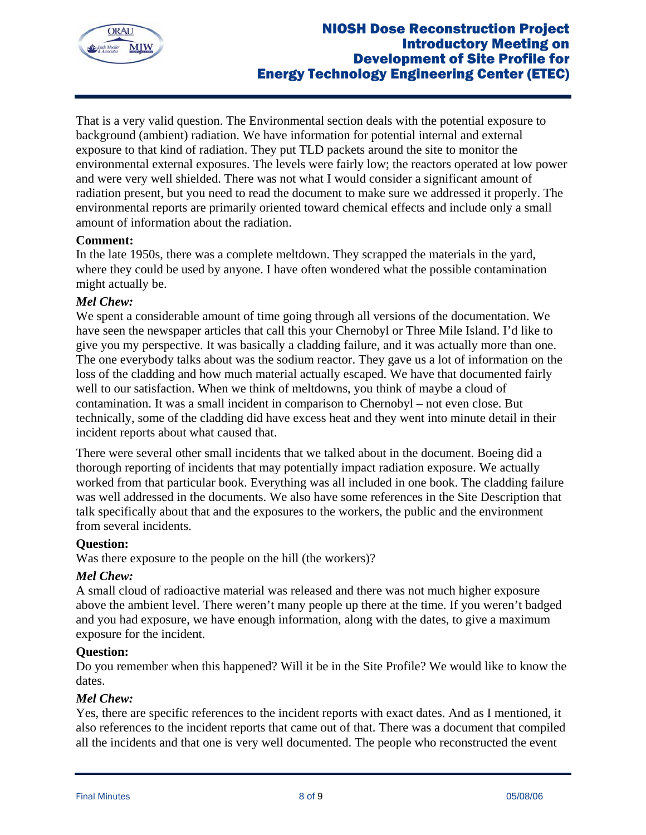

That is a very valid question. The Environmental section deals with the potential exposure to background (ambient) radiation. We have information for potential internal and external exposure to that kind of radiation. They put TLD packets around the site to monitor the environmental external exposures. The levels were fairly low; the reactors operated at low power and were very well shielded. There was not what I would consider a significant amount of radiation present, but you need to read the document to make sure we addressed it properly. The environmental reports are primarily oriented toward chemical effects and include only a small amount of information about the radiation.

## **Comment:**

In the late 1950s, there was a complete meltdown. They scrapped the materials in the yard, where they could be used by anyone. I have often wondered what the possible contamination might actually be.

### *Mel Chew:*

We spent a considerable amount of time going through all versions of the documentation. We have seen the newspaper articles that call this your Chernobyl or Three Mile Island. I'd like to give you my perspective. It was basically a cladding failure, and it was actually more than one. The one everybody talks about was the sodium reactor. They gave us a lot of information on the loss of the cladding and how much material actually escaped. We have that documented fairly well to our satisfaction. When we think of meltdowns, you think of maybe a cloud of contamination. It was a small incident in comparison to Chernobyl – not even close. But technically, some of the cladding did have excess heat and they went into minute detail in their incident reports about what caused that.

There were several other small incidents that we talked about in the document. Boeing did a thorough reporting of incidents that may potentially impact radiation exposure. We actually worked from that particular book. Everything was all included in one book. The cladding failure was well addressed in the documents. We also have some references in the Site Description that talk specifically about that and the exposures to the workers, the public and the environment from several incidents.

### **Question:**

Was there exposure to the people on the hill (the workers)?

### *Mel Chew:*

A small cloud of radioactive material was released and there was not much higher exposure above the ambient level. There weren't many people up there at the time. If you weren't badged and you had exposure, we have enough information, along with the dates, to give a maximum exposure for the incident.

### **Question:**

Do you remember when this happened? Will it be in the Site Profile? We would like to know the dates.

### *Mel Chew:*

Yes, there are specific references to the incident reports with exact dates. And as I mentioned, it also references to the incident reports that came out of that. There was a document that compiled all the incidents and that one is very well documented. The people who reconstructed the event